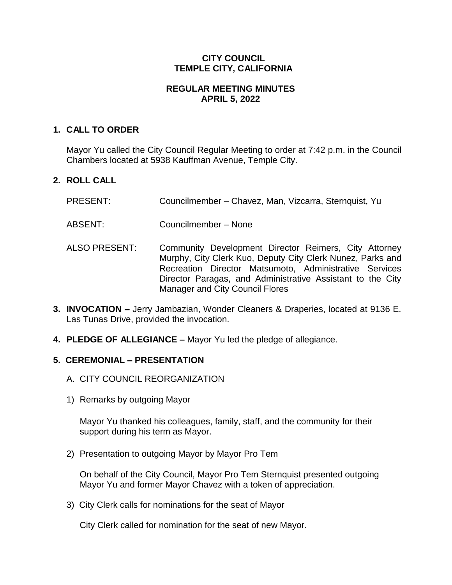## **CITY COUNCIL TEMPLE CITY, CALIFORNIA**

### **REGULAR MEETING MINUTES APRIL 5, 2022**

## **1. CALL TO ORDER**

Mayor Yu called the City Council Regular Meeting to order at 7:42 p.m. in the Council Chambers located at 5938 Kauffman Avenue, Temple City.

# **2. ROLL CALL**

- PRESENT: Councilmember Chavez, Man, Vizcarra, Sternquist, Yu
- ABSENT: Councilmember None
- ALSO PRESENT: Community Development Director Reimers, City Attorney Murphy, City Clerk Kuo, Deputy City Clerk Nunez, Parks and Recreation Director Matsumoto, Administrative Services Director Paragas, and Administrative Assistant to the City Manager and City Council Flores
- **3. INVOCATION –** Jerry Jambazian, Wonder Cleaners & Draperies, located at 9136 E. Las Tunas Drive, provided the invocation.
- **4. PLEDGE OF ALLEGIANCE –** Mayor Yu led the pledge of allegiance.

#### **5. CEREMONIAL – PRESENTATION**

- A. CITY COUNCIL REORGANIZATION
- 1) Remarks by outgoing Mayor

Mayor Yu thanked his colleagues, family, staff, and the community for their support during his term as Mayor.

2) Presentation to outgoing Mayor by Mayor Pro Tem

On behalf of the City Council, Mayor Pro Tem Sternquist presented outgoing Mayor Yu and former Mayor Chavez with a token of appreciation.

3) City Clerk calls for nominations for the seat of Mayor

City Clerk called for nomination for the seat of new Mayor.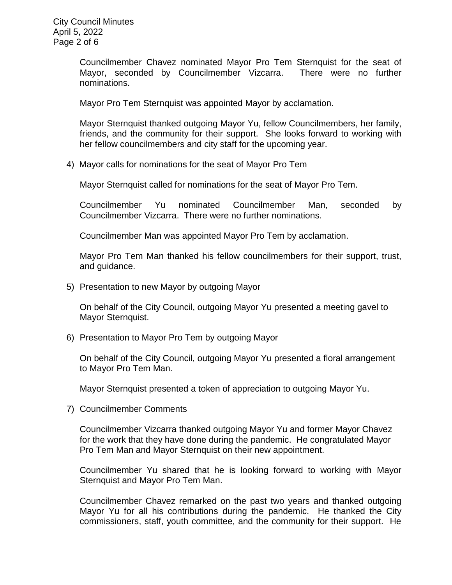City Council Minutes April 5, 2022 Page 2 of 6

> Councilmember Chavez nominated Mayor Pro Tem Sternquist for the seat of Mayor, seconded by Councilmember Vizcarra. There were no further nominations.

Mayor Pro Tem Sternquist was appointed Mayor by acclamation.

Mayor Sternquist thanked outgoing Mayor Yu, fellow Councilmembers, her family, friends, and the community for their support. She looks forward to working with her fellow councilmembers and city staff for the upcoming year.

4) Mayor calls for nominations for the seat of Mayor Pro Tem

Mayor Sternquist called for nominations for the seat of Mayor Pro Tem.

Councilmember Yu nominated Councilmember Man, seconded by Councilmember Vizcarra. There were no further nominations.

Councilmember Man was appointed Mayor Pro Tem by acclamation.

Mayor Pro Tem Man thanked his fellow councilmembers for their support, trust, and guidance.

5) Presentation to new Mayor by outgoing Mayor

On behalf of the City Council, outgoing Mayor Yu presented a meeting gavel to Mayor Sternquist.

6) Presentation to Mayor Pro Tem by outgoing Mayor

On behalf of the City Council, outgoing Mayor Yu presented a floral arrangement to Mayor Pro Tem Man.

Mayor Sternquist presented a token of appreciation to outgoing Mayor Yu.

7) Councilmember Comments

Councilmember Vizcarra thanked outgoing Mayor Yu and former Mayor Chavez for the work that they have done during the pandemic. He congratulated Mayor Pro Tem Man and Mayor Sternquist on their new appointment.

Councilmember Yu shared that he is looking forward to working with Mayor Sternquist and Mayor Pro Tem Man.

Councilmember Chavez remarked on the past two years and thanked outgoing Mayor Yu for all his contributions during the pandemic. He thanked the City commissioners, staff, youth committee, and the community for their support. He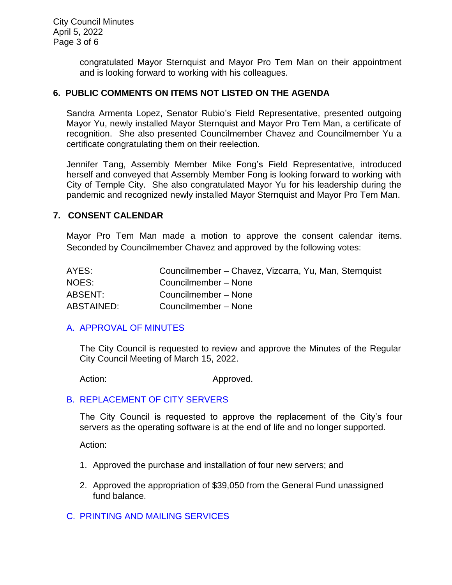congratulated Mayor Sternquist and Mayor Pro Tem Man on their appointment and is looking forward to working with his colleagues.

### **6. PUBLIC COMMENTS ON ITEMS NOT LISTED ON THE AGENDA**

Sandra Armenta Lopez, Senator Rubio's Field Representative, presented outgoing Mayor Yu, newly installed Mayor Sternquist and Mayor Pro Tem Man, a certificate of recognition. She also presented Councilmember Chavez and Councilmember Yu a certificate congratulating them on their reelection.

Jennifer Tang, Assembly Member Mike Fong's Field Representative, introduced herself and conveyed that Assembly Member Fong is looking forward to working with City of Temple City. She also congratulated Mayor Yu for his leadership during the pandemic and recognized newly installed Mayor Sternquist and Mayor Pro Tem Man.

#### **7. CONSENT CALENDAR**

Mayor Pro Tem Man made a motion to approve the consent calendar items. Seconded by Councilmember Chavez and approved by the following votes:

| AYES:      | Councilmember - Chavez, Vizcarra, Yu, Man, Sternquist |
|------------|-------------------------------------------------------|
| NOES:      | Councilmember – None                                  |
| ABSENT:    | Councilmember - None                                  |
| ABSTAINED: | Councilmember - None                                  |

#### [A. APPROVAL OF MINUTES](https://www.ci.temple-city.ca.us/DocumentCenter/View/17638/7A_CCM---2022-03-15)

The City Council is requested to review and approve the Minutes of the Regular City Council Meeting of March 15, 2022.

Action: Approved.

#### B. [REPLACEMENT OF CITY SERVERS](https://www.ci.temple-city.ca.us/DocumentCenter/View/17639/7B_Replacement-of-Servers_Staff-Report-w-attachment)

The City Council is requested to approve the replacement of the City's four servers as the operating software is at the end of life and no longer supported.

Action:

- 1. Approved the purchase and installation of four new servers; and
- 2. Approved the appropriation of \$39,050 from the General Fund unassigned fund balance.

#### C. [PRINTING AND MAILING SERVICES](https://www.ci.temple-city.ca.us/DocumentCenter/View/17640/7C_Print-Services-Agreement-Staff-Report_v2)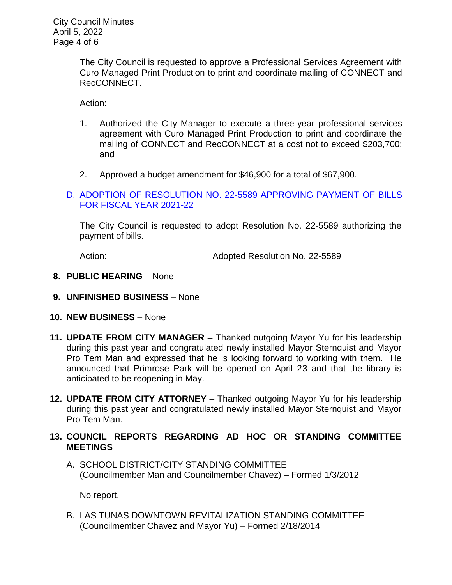The City Council is requested to approve a Professional Services Agreement with Curo Managed Print Production to print and coordinate mailing of CONNECT and RecCONNECT.

Action:

- 1. Authorized the City Manager to execute a three-year professional services agreement with Curo Managed Print Production to print and coordinate the mailing of CONNECT and RecCONNECT at a cost not to exceed \$203,700; and
- 2. Approved a budget amendment for \$46,900 for a total of \$67,900.
- D. [ADOPTION OF RESOLUTION NO. 22-5589](https://www.ci.temple-city.ca.us/DocumentCenter/View/17641/7D_Warrant-Register-40522-FY2122) APPROVING PAYMENT OF BILLS [FOR FISCAL YEAR 2021-22](https://www.ci.temple-city.ca.us/DocumentCenter/View/17641/7D_Warrant-Register-40522-FY2122)

The City Council is requested to adopt Resolution No. 22-5589 authorizing the payment of bills.

Action: Adopted Resolution No. 22-5589

- **8. PUBLIC HEARING** None
- **9. UNFINISHED BUSINESS** None
- **10. NEW BUSINESS**  None
- **11. UPDATE FROM CITY MANAGER** Thanked outgoing Mayor Yu for his leadership during this past year and congratulated newly installed Mayor Sternquist and Mayor Pro Tem Man and expressed that he is looking forward to working with them. He announced that Primrose Park will be opened on April 23 and that the library is anticipated to be reopening in May.
- **12. UPDATE FROM CITY ATTORNEY** Thanked outgoing Mayor Yu for his leadership during this past year and congratulated newly installed Mayor Sternquist and Mayor Pro Tem Man.
- **13. COUNCIL REPORTS REGARDING AD HOC OR STANDING COMMITTEE MEETINGS** 
	- A. SCHOOL DISTRICT/CITY STANDING COMMITTEE (Councilmember Man and Councilmember Chavez) – Formed 1/3/2012

No report.

B. LAS TUNAS DOWNTOWN REVITALIZATION STANDING COMMITTEE (Councilmember Chavez and Mayor Yu) – Formed 2/18/2014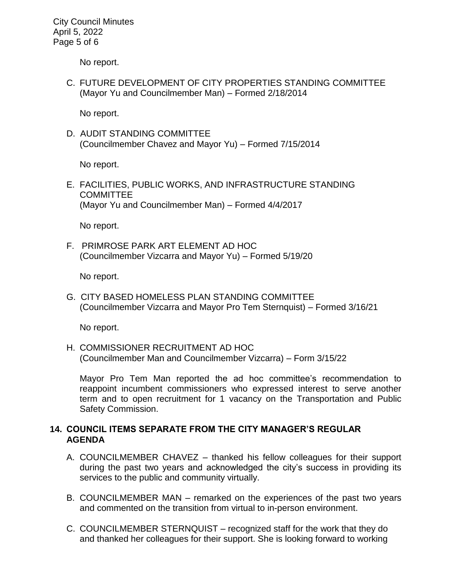City Council Minutes April 5, 2022 Page 5 of 6

No report.

C. FUTURE DEVELOPMENT OF CITY PROPERTIES STANDING COMMITTEE (Mayor Yu and Councilmember Man) – Formed 2/18/2014

No report.

D. AUDIT STANDING COMMITTEE (Councilmember Chavez and Mayor Yu) – Formed 7/15/2014

No report.

E. FACILITIES, PUBLIC WORKS, AND INFRASTRUCTURE STANDING **COMMITTEE** (Mayor Yu and Councilmember Man) – Formed 4/4/2017

No report.

F. PRIMROSE PARK ART ELEMENT AD HOC (Councilmember Vizcarra and Mayor Yu) – Formed 5/19/20

No report.

G. CITY BASED HOMELESS PLAN STANDING COMMITTEE (Councilmember Vizcarra and Mayor Pro Tem Sternquist) – Formed 3/16/21

No report.

H. COMMISSIONER RECRUITMENT AD HOC (Councilmember Man and Councilmember Vizcarra) – Form 3/15/22

Mayor Pro Tem Man reported the ad hoc committee's recommendation to reappoint incumbent commissioners who expressed interest to serve another term and to open recruitment for 1 vacancy on the Transportation and Public Safety Commission.

#### **14. COUNCIL ITEMS SEPARATE FROM THE CITY MANAGER'S REGULAR AGENDA**

- A. COUNCILMEMBER CHAVEZ thanked his fellow colleagues for their support during the past two years and acknowledged the city's success in providing its services to the public and community virtually.
- B. COUNCILMEMBER MAN remarked on the experiences of the past two years and commented on the transition from virtual to in-person environment.
- C. COUNCILMEMBER STERNQUIST recognized staff for the work that they do and thanked her colleagues for their support. She is looking forward to working